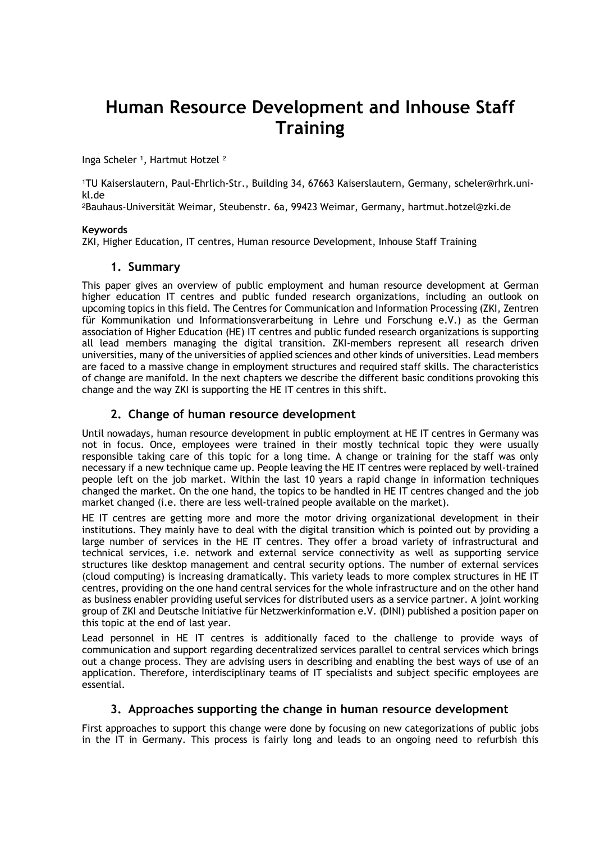# **Human Resource Development and Inhouse Staff Training**

Inga Scheler 1, Hartmut Hotzel <sup>2</sup>

1TU Kaiserslautern, Paul-Ehrlich-Str., Building 34, 67663 Kaiserslautern, Germany, scheler@rhrk.unikl.de

<sup>2</sup>Bauhaus-Universität Weimar, Steubenstr. 6a, 99423 Weimar, Germany, hartmut.hotzel@zki.de

#### **Keywords**

ZKI, Higher Education, IT centres, Human resource Development, Inhouse Staff Training

## **1. Summary**

This paper gives an overview of public employment and human resource development at German higher education IT centres and public funded research organizations, including an outlook on upcoming topics in this field. The Centres for Communication and Information Processing (ZKI, Zentren für Kommunikation und Informationsverarbeitung in Lehre und Forschung e.V.) as the German association of Higher Education (HE) IT centres and public funded research organizations is supporting all lead members managing the digital transition. ZKI-members represent all research driven universities, many of the universities of applied sciences and other kinds of universities. Lead members are faced to a massive change in employment structures and required staff skills. The characteristics of change are manifold. In the next chapters we describe the different basic conditions provoking this change and the way ZKI is supporting the HE IT centres in this shift.

## **2. Change of human resource development**

Until nowadays, human resource development in public employment at HE IT centres in Germany was not in focus. Once, employees were trained in their mostly technical topic they were usually responsible taking care of this topic for a long time. A change or training for the staff was only necessary if a new technique came up. People leaving the HE IT centres were replaced by well-trained people left on the job market. Within the last 10 years a rapid change in information techniques changed the market. On the one hand, the topics to be handled in HE IT centres changed and the job market changed (i.e. there are less well-trained people available on the market).

HE IT centres are getting more and more the motor driving organizational development in their institutions. They mainly have to deal with the digital transition which is pointed out by providing a large number of services in the HE IT centres. They offer a broad variety of infrastructural and technical services, i.e. network and external service connectivity as well as supporting service structures like desktop management and central security options. The number of external services (cloud computing) is increasing dramatically. This variety leads to more complex structures in HE IT centres, providing on the one hand central services for the whole infrastructure and on the other hand as business enabler providing useful services for distributed users as a service partner. A joint working group of ZKI and Deutsche Initiative für Netzwerkinformation e.V. (DINI) published a position paper on this topic at the end of last year.

Lead personnel in HE IT centres is additionally faced to the challenge to provide ways of communication and support regarding decentralized services parallel to central services which brings out a change process. They are advising users in describing and enabling the best ways of use of an application. Therefore, interdisciplinary teams of IT specialists and subject specific employees are essential.

## **3. Approaches supporting the change in human resource development**

First approaches to support this change were done by focusing on new categorizations of public jobs in the IT in Germany. This process is fairly long and leads to an ongoing need to refurbish this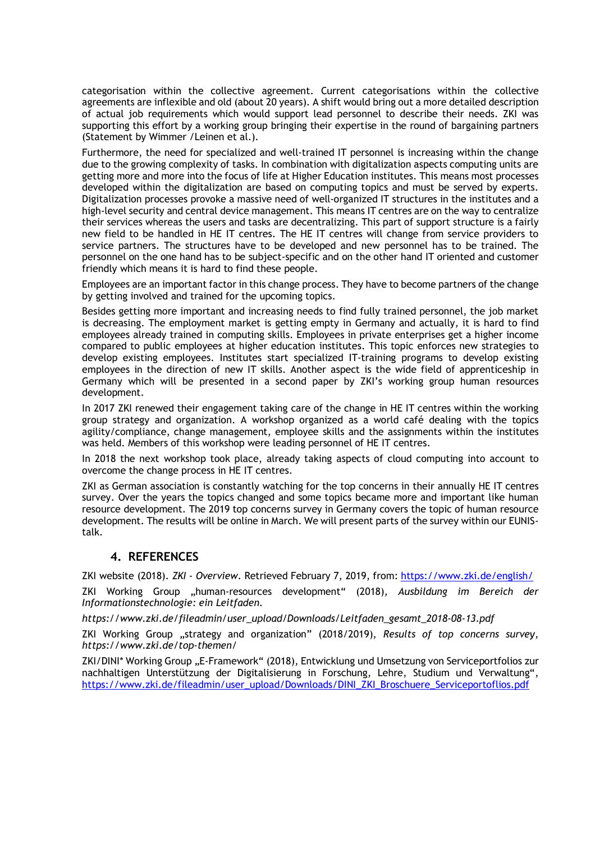categorisation within the collective agreement. Current categorisations within the collective agreements are inflexible and old (about 20 years). A shift would bring out a more detailed description of actual job requirements which would support lead personnel to describe their needs. ZKI was supporting this effort by a working group bringing their expertise in the round of bargaining partners (Statement by Wimmer /Leinen et al.).

Furthermore, the need for specialized and well-trained IT personnel is increasing within the change due to the growing complexity of tasks. In combination with digitalization aspects computing units are getting more and more into the focus of life at Higher Education institutes. This means most processes developed within the digitalization are based on computing topics and must be served by experts. Digitalization processes provoke a massive need of well-organized IT structures in the institutes and a high-level security and central device management. This means IT centres are on the way to centralize their services whereas the users and tasks are decentralizing. This part of support structure is a fairly new field to be handled in HE IT centres. The HE IT centres will change from service providers to service partners. The structures have to be developed and new personnel has to be trained. The personnel on the one hand has to be subject-specific and on the other hand IT oriented and customer friendly which means it is hard to find these people.

Employees are an important factor in this change process. They have to become partners of the change by getting involved and trained for the upcoming topics.

Besides getting more important and increasing needs to find fully trained personnel, the job market is decreasing. The employment market is getting empty in Germany and actually, it is hard to find employees already trained in computing skills. Employees in private enterprises get a higher income compared to public employees at higher education institutes. This topic enforces new strategies to develop existing employees. Institutes start specialized IT-training programs to develop existing employees in the direction of new IT skills. Another aspect is the wide field of apprenticeship in Germany which will be presented in a second paper by ZKI's working group human resources development.

In 2017 ZKI renewed their engagement taking care of the change in HE IT centres within the working group strategy and organization. A workshop organized as a world café dealing with the topics agility/compliance, change management, employee skills and the assignments within the institutes was held. Members of this workshop were leading personnel of HE IT centres.

In 2018 the next workshop took place, already taking aspects of cloud computing into account to overcome the change process in HE IT centres.

ZKI as German association is constantly watching for the top concerns in their annually HE IT centres survey. Over the years the topics changed and some topics became more and important like human resource development. The 2019 top concerns survey in Germany covers the topic of human resource development. The results will be online in March. We will present parts of the survey within our EUNIStalk.

### **4. REFERENCES**

ZKI website (2018). *ZKI - Overview*. Retrieved February 7, 2019, from: https://www.zki.de/english/

ZKI Working Group "human-resources development" (2018), *Ausbildung im Bereich der Informationstechnologie: ein Leitfaden.*

*https://www.zki.de/fileadmin/user\_upload/Downloads/Leitfaden\_gesamt\_2018-08-13.pdf*

ZKI Working Group "strategy and organization" (2018/2019), *Results of top concerns survey*, *https://www.zki.de/top-themen/*

ZKI/DINI\* Working Group "E-Framework" (2018), Entwicklung und Umsetzung von Serviceportfolios zur nachhaltigen Unterstützung der Digitalisierung in Forschung, Lehre, Studium und Verwaltung", https://www.zki.de/fileadmin/user\_upload/Downloads/DINI\_ZKI\_Broschuere\_Serviceportoflios.pdf